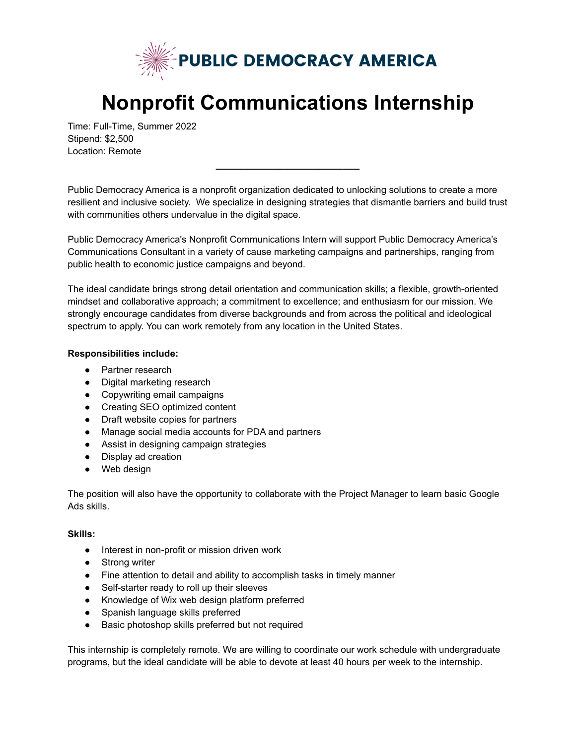

## **Nonprofit Communications Internship**

Time: Full-Time, Summer 2022 Stipend: \$2,500 Location: Remote

Public Democracy America is a nonprofit organization dedicated to unlocking solutions to create a more resilient and inclusive society. We specialize in designing strategies that dismantle barriers and build trust with communities others undervalue in the digital space.

**\_\_\_\_\_\_\_\_\_\_\_\_\_\_\_\_\_\_\_\_\_\_\_\_\_**

Public Democracy America's Nonprofit Communications Intern will support Public Democracy America's Communications Consultant in a variety of cause marketing campaigns and partnerships, ranging from public health to economic justice campaigns and beyond.

The ideal candidate brings strong detail orientation and communication skills; a flexible, growth-oriented mindset and collaborative approach; a commitment to excellence; and enthusiasm for our mission. We strongly encourage candidates from diverse backgrounds and from across the political and ideological spectrum to apply. You can work remotely from any location in the United States.

## **Responsibilities include:**

- Partner research
- Digital marketing research
- Copywriting email campaigns
- Creating SEO optimized content
- Draft website copies for partners
- Manage social media accounts for PDA and partners
- Assist in designing campaign strategies
- Display ad creation
- Web design

The position will also have the opportunity to collaborate with the Project Manager to learn basic Google Ads skills.

## **Skills:**

- Interest in non-profit or mission driven work
- Strong writer
- Fine attention to detail and ability to accomplish tasks in timely manner
- Self-starter ready to roll up their sleeves
- Knowledge of Wix web design platform preferred
- Spanish language skills preferred
- Basic photoshop skills preferred but not required

This internship is completely remote. We are willing to coordinate our work schedule with undergraduate programs, but the ideal candidate will be able to devote at least 40 hours per week to the internship.